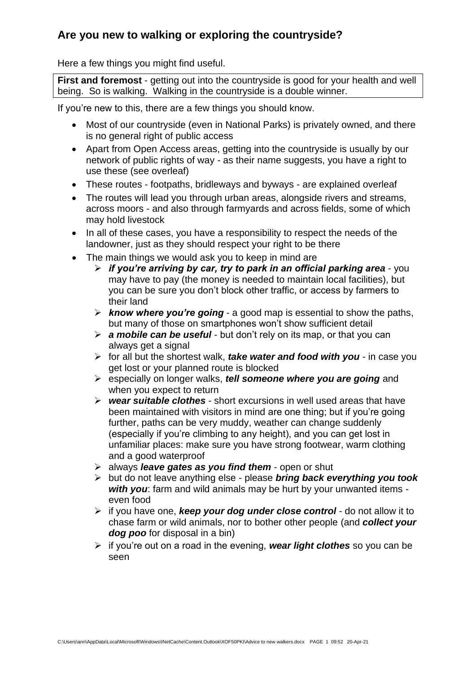## **Are you new to walking or exploring the countryside?**

Here a few things you might find useful.

**First and foremost** - getting out into the countryside is good for your health and well being. So is walking. Walking in the countryside is a double winner.

If you're new to this, there are a few things you should know.

- Most of our countryside (even in National Parks) is privately owned, and there is no general right of public access
- Apart from Open Access areas, getting into the countryside is usually by our network of public rights of way - as their name suggests, you have a right to use these (see overleaf)
- These routes footpaths, bridleways and byways are explained overleaf
- The routes will lead you through urban areas, alongside rivers and streams, across moors - and also through farmyards and across fields, some of which may hold livestock
- In all of these cases, you have a responsibility to respect the needs of the landowner, just as they should respect your right to be there
- The main things we would ask you to keep in mind are
	- ➢ *if you're arriving by car, try to park in an official parking area* you may have to pay (the money is needed to maintain local facilities), but you can be sure you don't block other traffic, or access by farmers to their land
	- ➢ *know where you're going* a good map is essential to show the paths, but many of those on smartphones won't show sufficient detail
	- ➢ *a mobile can be useful* but don't rely on its map, or that you can always get a signal
	- ➢ for all but the shortest walk, *take water and food with you* in case you get lost or your planned route is blocked
	- ➢ especially on longer walks, *tell someone where you are going* and when you expect to return
	- ➢ *wear suitable clothes* short excursions in well used areas that have been maintained with visitors in mind are one thing; but if you're going further, paths can be very muddy, weather can change suddenly (especially if you're climbing to any height), and you can get lost in unfamiliar places: make sure you have strong footwear, warm clothing and a good waterproof
	- ➢ always *leave gates as you find them* open or shut
	- ➢ but do not leave anything else please *bring back everything you took with you*: farm and wild animals may be hurt by your unwanted items even food
	- ➢ if you have one, *keep your dog under close control* do not allow it to chase farm or wild animals, nor to bother other people (and *collect your dog poo* for disposal in a bin)
	- ➢ if you're out on a road in the evening, *wear light clothes* so you can be seen